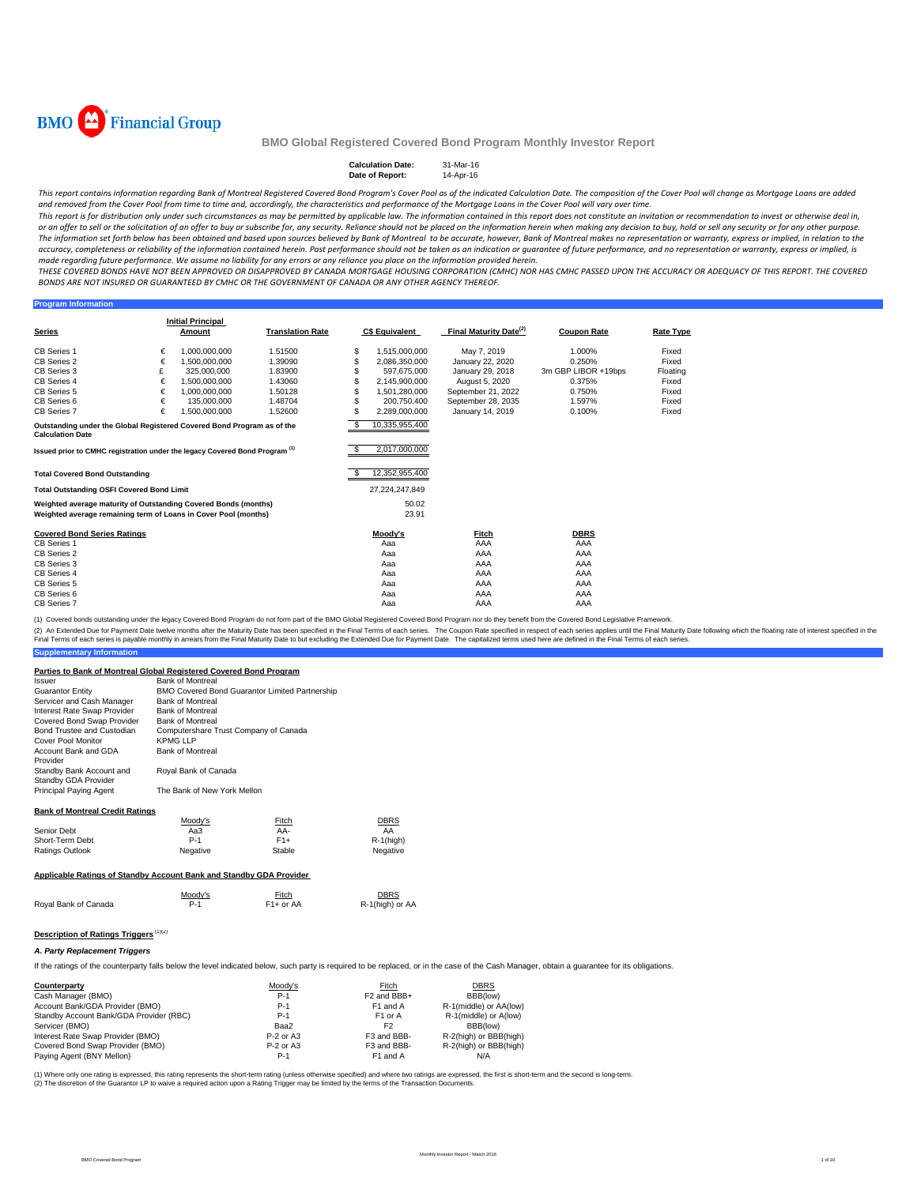

#### Calculation Date: 31-Mar-16<br>Date of Report: 14-Apr-16 **Date of Report:**

This report contains information regarding Bank of Montreal Registered Covered Bond Program's Cover Pool as of the indicated Calculation Date. The composition of the Cover Pool will change as Mortgage Loans are added and removed from the Cover Pool from time to time and, accordingly, the characteristics and performance of the Mortgage Loans in the Cover Pool will vary over time.

This report is for distribution only under such circumstances as may be permitted by applicable law. The information contained in this report does not constitute an invitation or recommendation to invest or otherwise deal or an offer to sell or the solicitation of an offer to buy or subscribe for, any security. Reliance should not be placed on the information herein when making any decision to buy, hold or sell any security or for any other The information set forth below has been obtained and based upon sources believed by Bank of Montreal to be accurate, however, Bank of Montreal makes no representation or warranty, express or implied, in relation to the accuracy, completeness or reliability of the information contained herein. Past performance should not be taken as an indication or guarantee of future performance, and no representation or warranty, express or implied, is made regarding future performance. We assume no liability for any errors or any reliance you place on the information provided herein.

THESE COVERED BONDS HAVE NOT BEEN APPROVED OR DISAPPROVED BY CANADA MORTGAGE HOUSING CORPORATION (CMHC) NOR HAS CMHC PASSED UPON THE ACCURACY OR ADFOUACY OF THIS REPORT. THE COVERED BONDS ARE NOT INSURED OR GUARANTEED BY CMHC OR THE GOVERNMENT OF CANADA OR ANY OTHER AGENCY THEREOF.

#### **Program Inform**

|                                                                                                   |   | <b>Initial Principal</b> |                         |    |                       |                                    |                     |                  |
|---------------------------------------------------------------------------------------------------|---|--------------------------|-------------------------|----|-----------------------|------------------------------------|---------------------|------------------|
| <b>Series</b>                                                                                     |   | Amount                   | <b>Translation Rate</b> |    | <b>C\$ Equivalent</b> | Final Maturity Date <sup>(2)</sup> | <b>Coupon Rate</b>  | <b>Rate Type</b> |
| <b>CB Series 1</b>                                                                                | € | 1.000.000.000            | 1.51500                 | S  | 1,515,000,000         | May 7, 2019                        | 1.000%              | Fixed            |
| CB Series 2                                                                                       | € | 1,500,000,000            | 1.39090                 | S  | 2,086,350,000         | January 22, 2020                   | 0.250%              | Fixed            |
| CB Series 3                                                                                       | £ | 325,000,000              | 1.83900                 |    | 597.675.000           | January 29, 2018                   | 3m GBP LIBOR +19bps | Floating         |
| CB Series 4                                                                                       | € | 1.500.000.000            | 1.43060                 | \$ | 2,145,900,000         | August 5, 2020                     | 0.375%              | Fixed            |
| CB Series 5                                                                                       | € | 1.000.000.000            | 1.50128                 |    | 1.501.280.000         | September 21, 2022                 | 0.750%              | Fixed            |
| CB Series 6                                                                                       | € | 135,000,000              | 1.48704                 | \$ | 200.750.400           | September 28, 2035                 | 1.597%              | Fixed            |
| <b>CB Series 7</b>                                                                                | € | 1.500.000.000            | 1.52600                 | S  | 2.289.000.000         | January 14, 2019                   | 0.100%              | Fixed            |
| Outstanding under the Global Registered Covered Bond Program as of the<br><b>Calculation Date</b> |   |                          |                         | S  | 10,335,955,400        |                                    |                     |                  |
| Issued prior to CMHC registration under the legacy Covered Bond Program <sup>(1)</sup>            |   |                          |                         | S. | 2,017,000,000         |                                    |                     |                  |
| <b>Total Covered Bond Outstanding</b>                                                             |   |                          |                         |    | 12,352,955,400        |                                    |                     |                  |
| <b>Total Outstanding OSFI Covered Bond Limit</b>                                                  |   |                          |                         |    | 27,224,247,849        |                                    |                     |                  |
| Weighted average maturity of Outstanding Covered Bonds (months)                                   |   |                          |                         |    | 50.02                 |                                    |                     |                  |
| Weighted average remaining term of Loans in Cover Pool (months)                                   |   |                          |                         |    | 23.91                 |                                    |                     |                  |
| <b>Covered Bond Series Ratings</b>                                                                |   |                          |                         |    | Moody's               | Fitch                              | <b>DBRS</b>         |                  |
| <b>CB</b> Series 1                                                                                |   |                          |                         |    | Aaa                   | AAA                                | AAA                 |                  |
| CB Series 2                                                                                       |   |                          |                         |    | Aaa                   | AAA                                | AAA                 |                  |
| CB Series 3                                                                                       |   |                          |                         |    | Aaa                   | AAA                                | AAA                 |                  |
| CB Series 4                                                                                       |   |                          |                         |    | Aaa                   | AAA                                | AAA                 |                  |
| CB Series 5                                                                                       |   |                          |                         |    | Aaa                   | AAA                                | AAA                 |                  |
| CB Series 6                                                                                       |   |                          |                         |    | Aaa                   | AAA                                | AAA                 |                  |
| <b>CB Series 7</b>                                                                                |   |                          |                         |    | Aaa                   | AAA                                | AAA                 |                  |

(1) Covered bonds outstanding under the legacy Covered Bond Program do not form part of the BMO Global Registered Covered Bond Program nor do they benefit from the Covered Bond Legislative Framework.

(2) An Extended Due for Payment Date twelve months after the Maturity Date has been specified in the Final Terms of each series. The Coupon Rate specified in the float has been but excluding the Extended Due for Payment Da

|  |  | <b>Supplementary Information</b> |  |  |  |
|--|--|----------------------------------|--|--|--|
|--|--|----------------------------------|--|--|--|

| Parties to Bank of Montreal Global Registered Covered Bond Program  |                                       |                                                |                 |
|---------------------------------------------------------------------|---------------------------------------|------------------------------------------------|-----------------|
| Issuer                                                              | <b>Bank of Montreal</b>               |                                                |                 |
| <b>Guarantor Entity</b>                                             |                                       | BMO Covered Bond Guarantor Limited Partnership |                 |
| Servicer and Cash Manager                                           | <b>Bank of Montreal</b>               |                                                |                 |
| Interest Rate Swap Provider                                         | <b>Bank of Montreal</b>               |                                                |                 |
| Covered Bond Swap Provider                                          | <b>Bank of Montreal</b>               |                                                |                 |
| Bond Trustee and Custodian                                          | Computershare Trust Company of Canada |                                                |                 |
| Cover Pool Monitor                                                  | KPMG I I P                            |                                                |                 |
| Account Bank and GDA                                                | <b>Bank of Montreal</b>               |                                                |                 |
| Provider                                                            |                                       |                                                |                 |
| Standby Bank Account and                                            | Royal Bank of Canada                  |                                                |                 |
| Standby GDA Provider                                                |                                       |                                                |                 |
| Principal Paying Agent                                              | The Bank of New York Mellon           |                                                |                 |
| <b>Bank of Montreal Credit Ratings</b>                              |                                       |                                                |                 |
|                                                                     | Moody's                               | Fitch                                          | DBRS            |
| Senior Debt                                                         | Aa3                                   | $AA-$                                          | AA              |
| Short-Term Debt                                                     | $P-1$                                 | $F1+$                                          | $R-1$ (high)    |
| Ratings Outlook                                                     | Negative                              | Stable                                         | Negative        |
| Applicable Ratings of Standby Account Bank and Standby GDA Provider |                                       |                                                |                 |
|                                                                     |                                       |                                                |                 |
|                                                                     | Moody's                               | Fitch                                          | <b>DBRS</b>     |
| Royal Bank of Canada                                                | $P-1$                                 | $F1+$ or AA                                    | R-1(high) or AA |
|                                                                     |                                       |                                                |                 |
| <b>Description of Ratings Triggers</b> <sup>(1)(2)</sup>            |                                       |                                                |                 |

#### *A. Party Replacement Triggers*

If the ratings of the counterparty falls below the level indicated below, such party is required to be replaced, or in the case of the Cash Manager, obtain a guarantee for its obligations.

| Counterparty                            | Moody's     | Fitch                   | <b>DBRS</b>            |
|-----------------------------------------|-------------|-------------------------|------------------------|
| Cash Manager (BMO)                      | $P-1$       | F <sub>2</sub> and BBB+ | BBB(low)               |
| Account Bank/GDA Provider (BMO)         | $P-1$       | F1 and A                | R-1(middle) or AA(low) |
| Standby Account Bank/GDA Provider (RBC) | $P-1$       | F <sub>1</sub> or A     | R-1(middle) or A(low)  |
| Servicer (BMO)                          | Baa2        | F <sub>2</sub>          | BBB(low)               |
| Interest Rate Swap Provider (BMO)       | $P-2$ or A3 | F3 and BBB-             | R-2(high) or BBB(high) |
| Covered Bond Swap Provider (BMO)        | $P-2$ or A3 | F3 and BBB-             | R-2(high) or BBB(high) |
| Paying Agent (BNY Mellon)               | $P-1$       | F1 and A                | N/A                    |

(1) Where only one rating is expressed, this rating represents the short-term rating (unless otherwise specified) and where two ratings are expressed, the first is short-term and the second is long-term. (2) The discretion of the Guarantor LP to waive a required action upon a Rating Trigger may be limited by the terms of the Transaction Documents.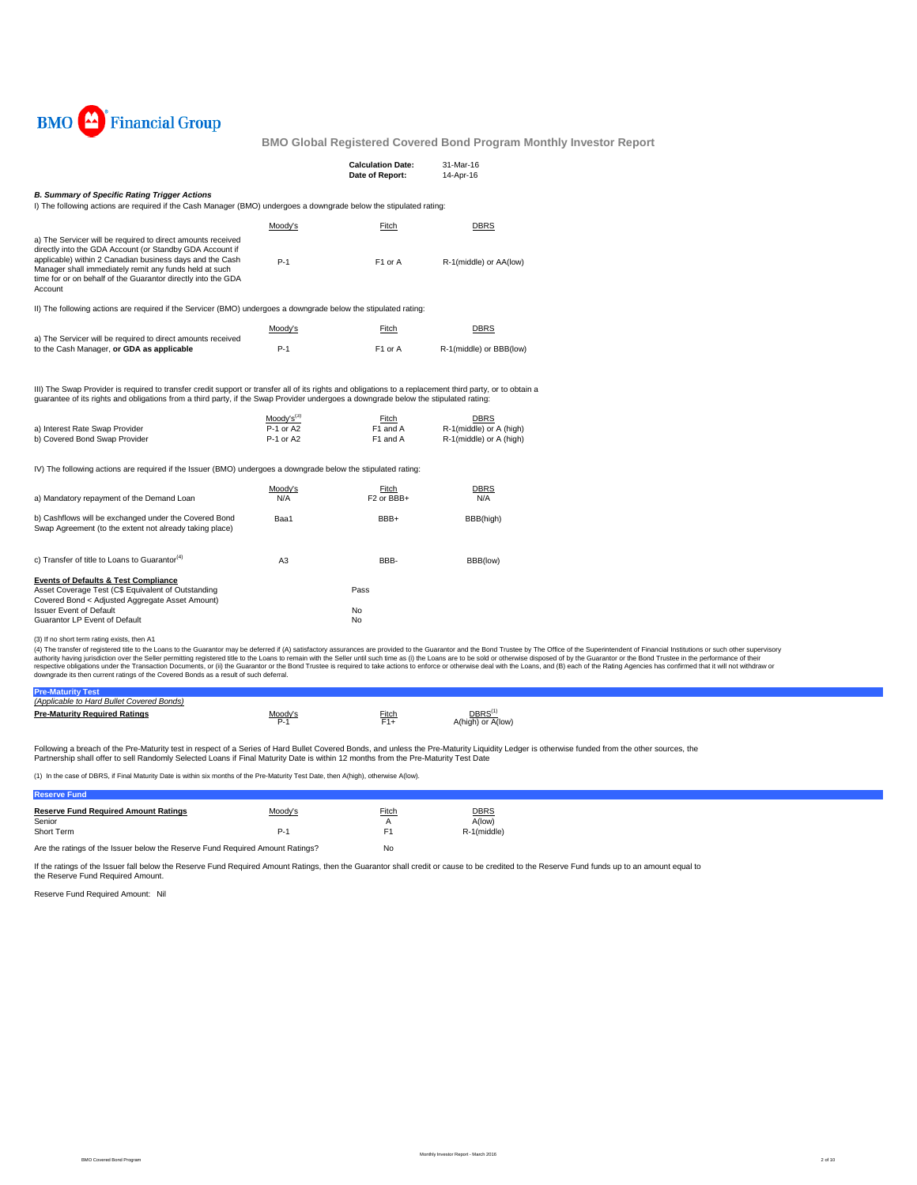

|                                                                                                                                                                                                                                                                                                                          |                                          | <b>Calculation Date:</b><br>Date of Report: | 31-Mar-16<br>14-Apr-16                                            |  |
|--------------------------------------------------------------------------------------------------------------------------------------------------------------------------------------------------------------------------------------------------------------------------------------------------------------------------|------------------------------------------|---------------------------------------------|-------------------------------------------------------------------|--|
| <b>B. Summary of Specific Rating Trigger Actions</b><br>I) The following actions are required if the Cash Manager (BMO) undergoes a downgrade below the stipulated rating:                                                                                                                                               |                                          |                                             |                                                                   |  |
|                                                                                                                                                                                                                                                                                                                          | Moody's                                  | Fitch                                       | <b>DBRS</b>                                                       |  |
| a) The Servicer will be required to direct amounts received<br>directly into the GDA Account (or Standby GDA Account if<br>applicable) within 2 Canadian business days and the Cash<br>Manager shall immediately remit any funds held at such<br>time for or on behalf of the Guarantor directly into the GDA<br>Account | $P-1$                                    | F1 or A                                     | R-1(middle) or AA(low)                                            |  |
| II) The following actions are required if the Servicer (BMO) undergoes a downgrade below the stipulated rating:                                                                                                                                                                                                          |                                          |                                             |                                                                   |  |
|                                                                                                                                                                                                                                                                                                                          | Moody's                                  | Fitch                                       | <b>DBRS</b>                                                       |  |
| a) The Servicer will be required to direct amounts received<br>to the Cash Manager, or GDA as applicable                                                                                                                                                                                                                 | $P-1$                                    | F1 or A                                     | R-1(middle) or BBB(low)                                           |  |
| III) The Swap Provider is required to transfer credit support or transfer all of its rights and obligations to a replacement third party, or to obtain a<br>quarantee of its rights and obligations from a third party, if the Swap Provider undergoes a downgrade below the stipulated rating:                          |                                          |                                             |                                                                   |  |
| a) Interest Rate Swap Provider<br>b) Covered Bond Swap Provider                                                                                                                                                                                                                                                          | $Mody's^{(3)}$<br>P-1 or A2<br>P-1 or A2 | Fitch<br>F1 and A<br>F1 and A               | <b>DBRS</b><br>R-1(middle) or A (high)<br>R-1(middle) or A (high) |  |
| IV) The following actions are required if the Issuer (BMO) undergoes a downgrade below the stipulated rating:                                                                                                                                                                                                            |                                          |                                             |                                                                   |  |
| a) Mandatory repayment of the Demand Loan                                                                                                                                                                                                                                                                                | Moody's<br>N/A                           | Fitch<br>F <sub>2</sub> or BBB+             | <b>DBRS</b><br>N/A                                                |  |
| b) Cashflows will be exchanged under the Covered Bond<br>Swap Agreement (to the extent not already taking place)                                                                                                                                                                                                         | Baa1                                     | BBB+                                        | BBB(high)                                                         |  |
| c) Transfer of title to Loans to Guarantor <sup>(4)</sup>                                                                                                                                                                                                                                                                | A3                                       | BBB-                                        | BBB(low)                                                          |  |

| <b>Events of Defaults &amp; Test Compliance</b>    |      |
|----------------------------------------------------|------|
| Asset Coverage Test (C\$ Equivalent of Outstanding | Pass |
| Covered Bond < Adjusted Aggregate Asset Amount)    |      |
| <b>Issuer Event of Default</b>                     | No   |
| Guarantor LP Event of Default                      | No   |
|                                                    |      |

#### (3) If no short term rating exists, then A1

(4) The transfer of registered title to the Loans to the Guarantor may be deferred if (A) satisfactory assurances are provided to the Guarantor and the Belle remains of profile to the Superintent of Financial Institutions

| Pre-                                      |         |              |                    |  |  |
|-------------------------------------------|---------|--------------|--------------------|--|--|
| (Applicable to Hard Bullet Covered Bonds) |         |              |                    |  |  |
| <b>Pre-Maturity Required Ratings</b>      | Moody's | <b>Fitch</b> | DBRS <sup>(1</sup> |  |  |
|                                           | $P-1$   | $F1+$        | A(high) or A(low)  |  |  |
|                                           |         |              |                    |  |  |

Following a breach of the Pre-Maturity test in respect of a Series of Hard Bullet Covered Bonds, and unless the Pre-Maturity Liquidity Ledger is otherwise funded from the other sources, the<br>Partnership shall offer to sell

(1) In the case of DBRS, if Final Maturity Date is within six months of the Pre-Maturity Test Date, then A(high), otherwise A(low).

#### **Reserve Fund**

| <b>Reserve Fund Required Amount Ratings</b><br>Senior<br>Short Term           | Moody's<br>P.1 | <b>Fitch</b><br>F1 | <b>DBRS</b><br>A(low)<br>R-1(middle) |
|-------------------------------------------------------------------------------|----------------|--------------------|--------------------------------------|
| Are the ratings of the Issuer below the Reserve Fund Required Amount Ratings? |                | No                 |                                      |

If the ratings of the Issuer fall below the Reserve Fund Required Amount Ratings, then the Guarantor shall credit or cause to be credited to the Reserve Fund funds up to an amount equal to the Reserve Fund Required Amount.

Reserve Fund Required Amount: Nil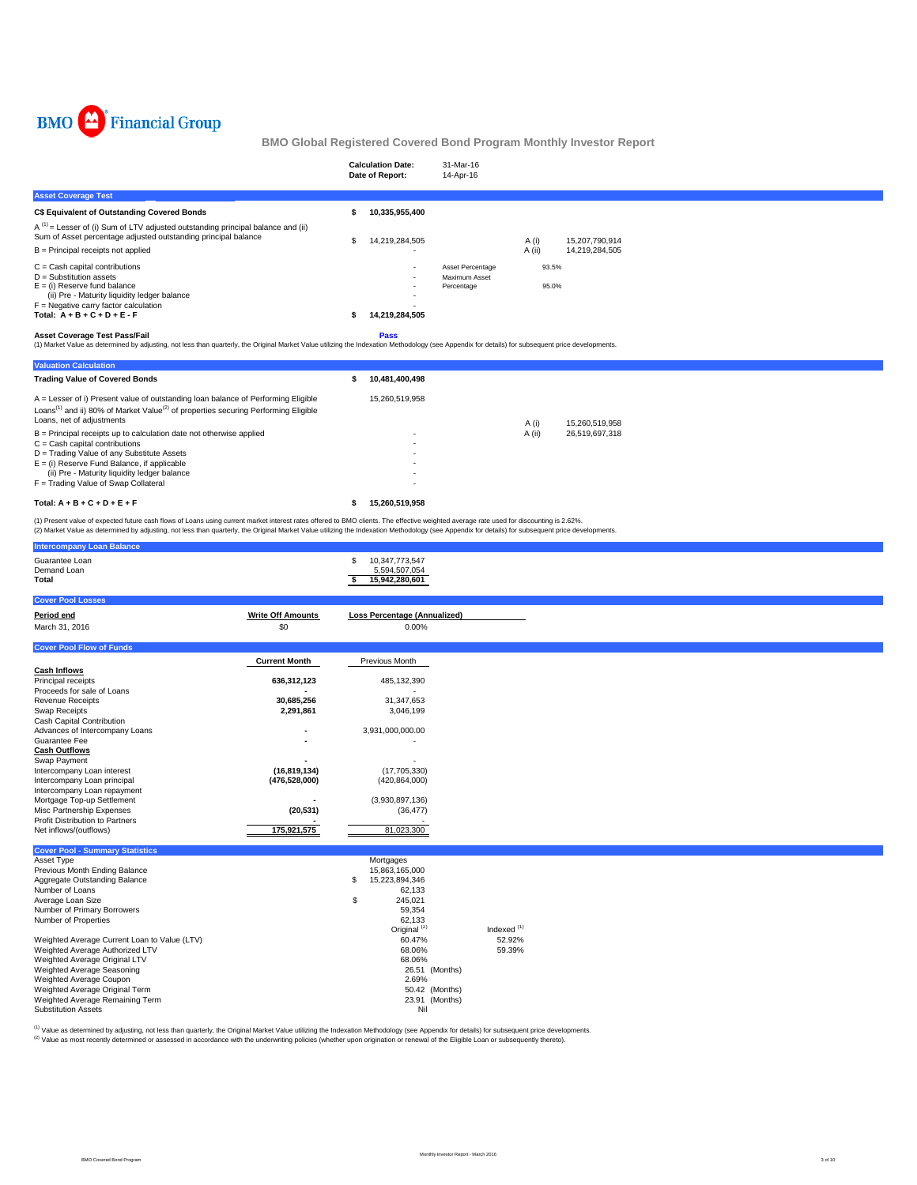

|                                                                                                                                                                                                                                                                                                                                                                                                                                                                            | <b>Calculation Date:</b><br>Date of Report: | 31-Mar-16<br>14-Apr-16                          |                   |                                  |  |  |
|----------------------------------------------------------------------------------------------------------------------------------------------------------------------------------------------------------------------------------------------------------------------------------------------------------------------------------------------------------------------------------------------------------------------------------------------------------------------------|---------------------------------------------|-------------------------------------------------|-------------------|----------------------------------|--|--|
| <b>Asset Coverage Test</b>                                                                                                                                                                                                                                                                                                                                                                                                                                                 |                                             |                                                 |                   |                                  |  |  |
| C\$ Equivalent of Outstanding Covered Bonds                                                                                                                                                                                                                                                                                                                                                                                                                                | 10,335,955,400                              |                                                 |                   |                                  |  |  |
| $A^{(1)}$ = Lesser of (i) Sum of LTV adjusted outstanding principal balance and (ii)<br>Sum of Asset percentage adjusted outstanding principal balance<br>$B =$ Principal receipts not applied                                                                                                                                                                                                                                                                             | 14,219,284,505                              |                                                 | A (i)<br>$A$ (ii) | 15,207,790,914<br>14,219,284,505 |  |  |
| $C =$ Cash capital contributions<br>$D =$ Substitution assets<br>$E =$ (i) Reserve fund balance<br>(ii) Pre - Maturity liquidity ledger balance<br>$F =$ Negative carry factor calculation<br>Total: $A + B + C + D + E - F$<br><b>Asset Coverage Test Pass/Fail</b><br>(1) Market Value as determined by adjusting, not less than quarterly, the Original Market Value utilizing the Indexation Methodology (see Appendix for details) for subsequent price developments. | 14,219,284,505<br>Pass                      | Asset Percentage<br>Maximum Asset<br>Percentage | 93.5%<br>95.0%    |                                  |  |  |
| <b>Valuation Calculation</b>                                                                                                                                                                                                                                                                                                                                                                                                                                               |                                             |                                                 |                   |                                  |  |  |
| <b>Trading Value of Covered Bonds</b>                                                                                                                                                                                                                                                                                                                                                                                                                                      | 10,481,400,498                              |                                                 |                   |                                  |  |  |
| A = Lesser of i) Present value of outstanding loan balance of Performing Eligible<br>Loans <sup>(1)</sup> and ii) 80% of Market Value <sup>(2)</sup> of properties securing Performing Eligible                                                                                                                                                                                                                                                                            | 15,260,519,958                              |                                                 |                   |                                  |  |  |

### Total:  $A + B + C + D + E + F$  **\$** 15,260,519,958

(1) Present value of expected future cash flows of Loans using current market interest rates offered to BMO clients. The effective weighted average rate used for discounting is 2.62%.<br>(2) Market Value as determined by adju

D = Trading Value of any Substitute Assets - E = (i) Reserve Fund Balance, if applicable - (ii) Pre - Maturity liquidity ledger balance - F = Trading Value of Swap Collateral -

| <b>Intercompany Loan Balance</b>                              |                          |                                                         |                        |  |  |  |
|---------------------------------------------------------------|--------------------------|---------------------------------------------------------|------------------------|--|--|--|
| Guarantee Loan<br>Demand Loan<br>Total                        |                          | \$<br>10,347,773,547<br>5,594,507,054<br>15,942,280,601 |                        |  |  |  |
| <b>Cover Pool Losses</b>                                      |                          |                                                         |                        |  |  |  |
| Period end                                                    | <b>Write Off Amounts</b> | <b>Loss Percentage (Annualized)</b>                     |                        |  |  |  |
| March 31, 2016                                                | \$0                      | 0.00%                                                   |                        |  |  |  |
|                                                               |                          |                                                         |                        |  |  |  |
| <b>Cover Pool Flow of Funds</b>                               |                          |                                                         |                        |  |  |  |
|                                                               | <b>Current Month</b>     | Previous Month                                          |                        |  |  |  |
| <b>Cash Inflows</b>                                           |                          |                                                         |                        |  |  |  |
| Principal receipts                                            | 636,312,123              | 485,132,390                                             |                        |  |  |  |
| Proceeds for sale of Loans                                    |                          |                                                         |                        |  |  |  |
| <b>Revenue Receipts</b>                                       | 30,685,256               | 31,347,653                                              |                        |  |  |  |
| <b>Swap Receipts</b>                                          | 2,291,861                | 3,046,199                                               |                        |  |  |  |
| Cash Capital Contribution<br>Advances of Intercompany Loans   |                          | 3,931,000,000.00                                        |                        |  |  |  |
| Guarantee Fee                                                 |                          |                                                         |                        |  |  |  |
| <b>Cash Outflows</b>                                          |                          |                                                         |                        |  |  |  |
| Swap Payment                                                  |                          |                                                         |                        |  |  |  |
| Intercompany Loan interest                                    | (16, 819, 134)           | (17,705,330)                                            |                        |  |  |  |
| Intercompany Loan principal                                   | (476, 528, 000)          | (420, 864, 000)                                         |                        |  |  |  |
| Intercompany Loan repayment                                   |                          |                                                         |                        |  |  |  |
| Mortgage Top-up Settlement                                    |                          | (3,930,897,136)                                         |                        |  |  |  |
| Misc Partnership Expenses                                     | (20, 531)                | (36, 477)                                               |                        |  |  |  |
| Profit Distribution to Partners                               |                          |                                                         |                        |  |  |  |
| Net inflows/(outflows)                                        | 175,921,575              | 81,023,300                                              |                        |  |  |  |
| <b>Cover Pool - Summary Statistics</b>                        |                          |                                                         |                        |  |  |  |
| Asset Type                                                    |                          | Mortgages                                               |                        |  |  |  |
| Previous Month Ending Balance                                 |                          | 15,863,165,000                                          |                        |  |  |  |
| Aggregate Outstanding Balance                                 |                          | 15,223,894,346<br>S                                     |                        |  |  |  |
| Number of Loans                                               |                          | 62,133                                                  |                        |  |  |  |
| Average Loan Size                                             |                          | \$<br>245,021                                           |                        |  |  |  |
| Number of Primary Borrowers                                   |                          | 59,354                                                  |                        |  |  |  |
| Number of Properties                                          |                          | 62,133                                                  |                        |  |  |  |
|                                                               |                          | Original <sup>(2)</sup>                                 | Indexed <sup>(1)</sup> |  |  |  |
| Weighted Average Current Loan to Value (LTV)                  |                          | 60.47%                                                  | 52.92%                 |  |  |  |
| Weighted Average Authorized LTV                               |                          | 68.06%                                                  | 59.39%                 |  |  |  |
| Weighted Average Original LTV                                 |                          | 68.06%                                                  |                        |  |  |  |
| Weighted Average Seasoning                                    |                          | 26.51 (Months)                                          |                        |  |  |  |
| Weighted Average Coupon                                       |                          | 2.69%                                                   |                        |  |  |  |
| Weighted Average Original Term                                |                          | 50.42 (Months)<br>23.91 (Months)                        |                        |  |  |  |
| Weighted Average Remaining Term<br><b>Substitution Assets</b> |                          | Nil                                                     |                        |  |  |  |
|                                                               |                          |                                                         |                        |  |  |  |

<sup>(1)</sup> Value as determined by adjusting, not less than quarterly, the Original Market Value utilizing the Indexation Methodology (see Appendix for details) for subsequent price developments.<br><sup>(2)</sup> Value as most recently det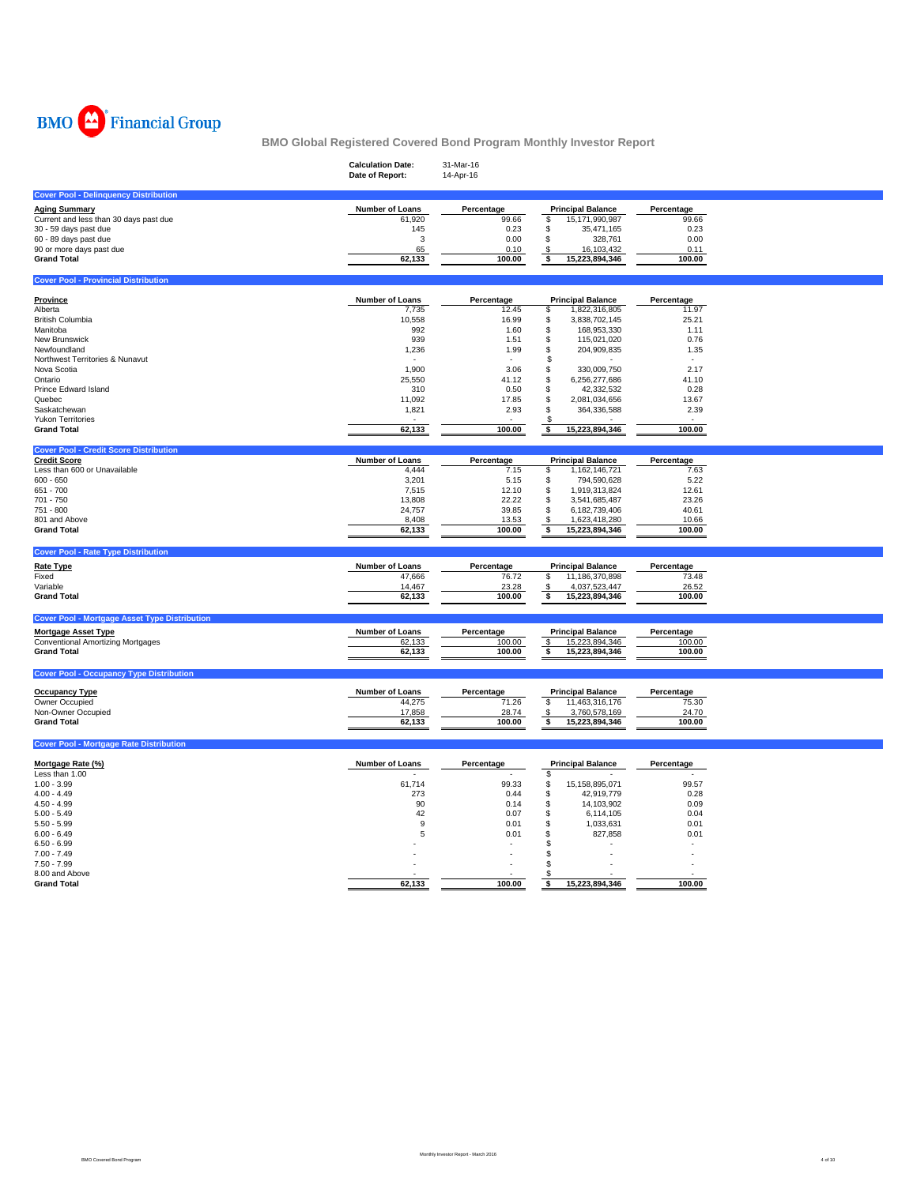

|                                                      | <b>Calculation Date:</b><br>Date of Report: | 31-Mar-16<br>14-Apr-16 |                                           |                     |
|------------------------------------------------------|---------------------------------------------|------------------------|-------------------------------------------|---------------------|
| <b>Cover Pool - Delinquency Distribution</b>         |                                             |                        |                                           |                     |
| <b>Aging Summary</b>                                 | Number of Loans                             | Percentage             | <b>Principal Balance</b>                  | Percentage          |
| Current and less than 30 days past due               | 61,920                                      | 99.66                  | 15,171,990,987<br>\$                      | 99.66               |
| 30 - 59 days past due                                | 145                                         | 0.23                   | \$<br>35,471,165                          | 0.23                |
| 60 - 89 days past due                                | 3                                           | 0.00                   | \$<br>328,761                             | 0.00                |
| 90 or more days past due                             | 65                                          | 0.10                   | 16,103,432<br>\$                          | 0.11                |
| <b>Grand Total</b>                                   | 62,133                                      | 100.00                 | \$<br>15,223,894,346                      | 100.00              |
| <b>Cover Pool - Provincial Distribution</b>          |                                             |                        |                                           |                     |
|                                                      |                                             |                        |                                           |                     |
| <b>Province</b>                                      | Number of Loans                             | Percentage             | <b>Principal Balance</b><br>1,822,316,805 | Percentage<br>11.97 |
| Alberta<br><b>British Columbia</b>                   | 7,735<br>10,558                             | 12.45<br>16.99         | \$<br>\$<br>3,838,702,145                 | 25.21               |
| Manitoba                                             | 992                                         | 1.60                   | \$<br>168,953,330                         | 1.11                |
| New Brunswick                                        | 939                                         | 1.51                   | \$<br>115,021,020                         | 0.76                |
| Newfoundland                                         | 1,236                                       | 1.99                   | \$<br>204,909,835                         | 1.35                |
| Northwest Territories & Nunavut                      |                                             |                        | \$                                        |                     |
| Nova Scotia                                          | 1,900                                       | 3.06                   | 330,009,750<br>\$                         | 2.17                |
| Ontario                                              | 25,550                                      | 41.12                  | 6,256,277,686<br>\$                       | 41.10               |
| Prince Edward Island                                 | 310                                         | 0.50                   | \$<br>42,332,532                          | 0.28                |
| Quebec                                               | 11,092                                      | 17.85                  | \$<br>2,081,034,656                       | 13.67               |
| Saskatchewan                                         | 1,821                                       | 2.93                   | 364,336,588<br>\$                         | 2.39                |
| <b>Yukon Territories</b>                             |                                             |                        |                                           |                     |
| <b>Grand Total</b>                                   | 62,133                                      | 100.00                 | 15,223,894,346<br>\$                      | 100.00              |
| <b>Cover Pool - Credit Score Distribution</b>        |                                             |                        |                                           |                     |
| <b>Credit Score</b>                                  | <b>Number of Loans</b>                      | Percentage             | <b>Principal Balance</b>                  | Percentage          |
| Less than 600 or Unavailable                         | 4,444                                       | 7.15                   | 1,162,146,721<br>\$                       | 7.63                |
| $600 - 650$                                          | 3,201                                       | 5.15                   | \$<br>794,590,628                         | 5.22                |
| 651 - 700                                            | 7,515                                       | 12.10                  | \$<br>1,919,313,824                       | 12.61               |
| 701 - 750                                            | 13,808                                      | 22.22                  | \$<br>3,541,685,487                       | 23.26               |
| 751 - 800                                            | 24,757                                      | 39.85                  | \$<br>6,182,739,406                       | 40.61               |
| 801 and Above                                        | 8,408                                       | 13.53                  | 1,623,418,280<br>\$                       | 10.66               |
| <b>Grand Total</b>                                   | 62,133                                      | 100.00                 | 15,223,894,346<br>\$                      | 100.00              |
| <b>Cover Pool - Rate Type Distribution</b>           |                                             |                        |                                           |                     |
| <b>Rate Type</b>                                     | Number of Loans                             | Percentage             | <b>Principal Balance</b>                  | Percentage          |
| Fixed                                                | 47,666                                      | 76.72                  | 11,186,370,898<br>\$                      | 73.48               |
| Variable                                             | 14,467                                      | 23.28                  | 4,037,523,447<br>\$                       | 26.52               |
| <b>Grand Total</b>                                   | 62,133                                      | 100.00                 | \$<br>15,223,894,346                      | 100.00              |
|                                                      |                                             |                        |                                           |                     |
| <b>Cover Pool - Mortgage Asset Type Distribution</b> |                                             |                        |                                           |                     |
| <b>Mortgage Asset Type</b>                           | Number of Loans                             | Percentage             | <b>Principal Balance</b>                  | Percentage          |
| Conventional Amortizing Mortgages                    | 62,133                                      | 100.00                 | \$<br>15,223,894,346                      | 100.00              |
| <b>Grand Total</b>                                   | 62,133                                      | 100.00                 | \$<br>15,223,894,346                      | 100.00              |
| <b>Cover Pool - Occupancy Type Distribution</b>      |                                             |                        |                                           |                     |
| <b>Occupancy Type</b>                                | <b>Number of Loans</b>                      | Percentage             | <b>Principal Balance</b>                  | Percentage          |
| Owner Occupied                                       |                                             | 71.26                  | \$                                        | 75.30               |
| Non-Owner Occupied                                   | 44,275<br>17,858                            | 28.74                  | 11,463,316,176<br>3,760,578,169<br>\$     | 24.70               |
| <b>Grand Total</b>                                   | 62,133                                      | 100.00                 | 15,223,894,346<br>\$                      | 100.00              |
|                                                      |                                             |                        |                                           |                     |
| <b>Cover Pool - Mortgage Rate Distribution</b>       |                                             |                        |                                           |                     |
| Mortgage Rate (%)                                    | Number of Loans                             | Percentage             | <b>Principal Balance</b>                  | Percentage          |
| Less than 1.00                                       |                                             |                        | \$                                        |                     |
| $1.00 - 3.99$                                        | 61,714                                      | 99.33                  | 15,158,895,071<br>\$                      | 99.57               |
| $4.00 - 4.49$                                        | 273                                         | 0.44                   | \$<br>42,919,779                          | 0.28                |
| $4.50 - 4.99$                                        | 90                                          | 0.14                   | \$<br>14,103,902                          | 0.09                |
| $5.00 - 5.49$                                        | 42                                          | 0.07                   | \$<br>6,114,105                           | 0.04                |
| $5.50 - 5.99$                                        | 9                                           | 0.01                   | \$<br>1,033,631                           | 0.01                |
| $6.00 - 6.49$                                        | 5                                           | 0.01                   | 827,858<br>S                              | 0.01                |
| $6.50 - 6.99$                                        |                                             |                        | S.                                        |                     |
| $7.00 - 7.49$                                        |                                             |                        |                                           |                     |
|                                                      |                                             |                        |                                           |                     |
| $7.50 - 7.99$                                        |                                             |                        |                                           |                     |
| 8.00 and Above<br><b>Grand Total</b>                 | 62.133                                      | 100.00                 | 15,223,894,346<br>\$                      | 100.00              |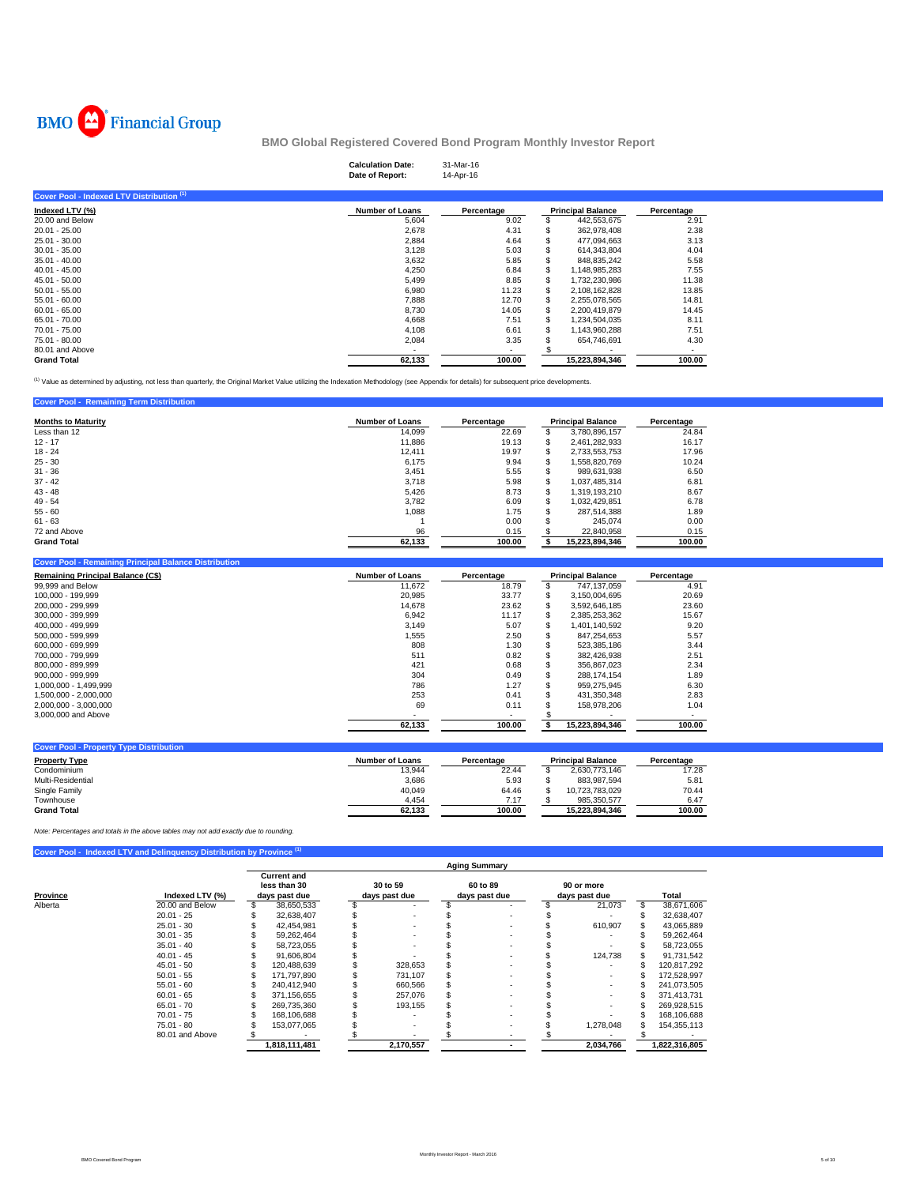

**Calculation Date:** 31-Mar-16 **Date of Report:** 14-Apr-16

| Cover Pool - Indexed LTV Distribution (1) |                        |                          |                          |            |
|-------------------------------------------|------------------------|--------------------------|--------------------------|------------|
| Indexed LTV (%)                           | <b>Number of Loans</b> | Percentage               | <b>Principal Balance</b> | Percentage |
| 20.00 and Below                           | 5,604                  | 9.02                     | 442,553,675              | 2.91       |
| $20.01 - 25.00$                           | 2,678                  | 4.31                     | 362,978,408              | 2.38       |
| $25.01 - 30.00$                           | 2,884                  | 4.64                     | 477.094.663              | 3.13       |
| $30.01 - 35.00$                           | 3,128                  | 5.03                     | 614,343,804              | 4.04       |
| $35.01 - 40.00$                           | 3,632                  | 5.85                     | 848,835,242              | 5.58       |
| $40.01 - 45.00$                           | 4,250                  | 6.84                     | 1.148.985.283            | 7.55       |
| $45.01 - 50.00$                           | 5,499                  | 8.85                     | 1.732.230.986            | 11.38      |
| $50.01 - 55.00$                           | 6,980                  | 11.23                    | 2,108,162,828            | 13.85      |
| $55.01 - 60.00$                           | 7,888                  | 12.70                    | 2,255,078,565            | 14.81      |
| $60.01 - 65.00$                           | 8,730                  | 14.05                    | 2.200.419.879            | 14.45      |
| $65.01 - 70.00$                           | 4,668                  | 7.51                     | 1,234,504,035            | 8.11       |
| 70.01 - 75.00                             | 4,108                  | 6.61                     | 1.143.960.288            | 7.51       |
| 75.01 - 80.00                             | 2,084                  | 3.35                     | 654,746,691              | 4.30       |
| 80.01 and Above                           | ۰                      | $\overline{\phantom{a}}$ | ٠                        |            |
| <b>Grand Total</b>                        | 62,133                 | 100.00                   | 15,223,894,346           | 100.00     |

<sup>(1)</sup> Value as determined by adjusting, not less than quarterly, the Original Market Value utilizing the Indexation Methodology (see Appendix for details) for subsequent price developments.

| <b>Cover Pool - Remaining Term Distribution</b> |                        |            |    |                          |            |
|-------------------------------------------------|------------------------|------------|----|--------------------------|------------|
| <b>Months to Maturity</b>                       | <b>Number of Loans</b> | Percentage |    | <b>Principal Balance</b> | Percentage |
| Less than 12                                    | 14.099                 | 22.69      | J. | 3.780.896.157            | 24.84      |
| $12 - 17$                                       | 11.886                 | 19.13      | ъ  | 2.461.282.933            | 16.17      |
| $18 - 24$                                       | 12.411                 | 19.97      |    | 2.733.553.753            | 17.96      |
| $25 - 30$                                       | 6,175                  | 9.94       |    | 1,558,820,769            | 10.24      |
| $31 - 36$                                       | 3.451                  | 5.55       |    | 989.631.938              | 6.50       |
| $37 - 42$                                       | 3.718                  | 5.98       |    | 1.037.485.314            | 6.81       |
| $43 - 48$                                       | 5.426                  | 8.73       | ж  | 1.319.193.210            | 8.67       |
| $49 - 54$                                       | 3.782                  | 6.09       |    | 1.032.429.851            | 6.78       |
| $55 - 60$                                       | 1.088                  | 1.75       |    | 287.514.388              | 1.89       |
| $61 - 63$                                       |                        | 0.00       |    | 245.074                  | 0.00       |
| 72 and Above                                    | 96                     | 0.15       |    | 22.840.958               | 0.15       |
| <b>Grand Total</b>                              | 62.133                 | 100.00     |    | 15.223.894.346           | 100.00     |

| <b>Cover Pool - Remaining Principal Balance Distribution</b> |                        |            |                          |            |
|--------------------------------------------------------------|------------------------|------------|--------------------------|------------|
| <b>Remaining Principal Balance (C\$)</b>                     | <b>Number of Loans</b> | Percentage | <b>Principal Balance</b> | Percentage |
| 99,999 and Below                                             | 11.672                 | 18.79      | 747.137.059              | 4.91       |
| 100.000 - 199.999                                            | 20.985                 | 33.77      | 3.150.004.695            | 20.69      |
| 200.000 - 299.999                                            | 14,678                 | 23.62      | 3,592,646,185            | 23.60      |
| 300.000 - 399.999                                            | 6.942                  | 11.17      | 2,385,253,362            | 15.67      |
| 400.000 - 499.999                                            | 3.149                  | 5.07       | 1.401.140.592            | 9.20       |
| 500.000 - 599.999                                            | 1.555                  | 2.50       | 847.254.653              | 5.57       |
| 600.000 - 699.999                                            | 808                    | 1.30       | 523.385.186              | 3.44       |
| 700.000 - 799.999                                            | 511                    | 0.82       | 382.426.938              | 2.51       |
| 800.000 - 899.999                                            | 421                    | 0.68       | 356,867,023              | 2.34       |
| 900.000 - 999.999                                            | 304                    | 0.49       | 288.174.154              | 1.89       |
| 1.000.000 - 1.499.999                                        | 786                    | 1.27       | 959.275.945              | 6.30       |
| 1.500.000 - 2.000.000                                        | 253                    | 0.41       | 431.350.348              | 2.83       |
| 2.000.000 - 3.000.000                                        | 69                     | 0.11       | 158.978.206              | 1.04       |
| 3,000,000 and Above                                          |                        |            |                          |            |
|                                                              | 62,133                 | 100.00     | 15.223.894.346           | 100.00     |

| Number of Loans | Percentage |                | Percentage               |
|-----------------|------------|----------------|--------------------------|
| 13.944          | 22.44      | 2.630.773.146  | 17.28                    |
| 3.686           | 5.93       | 883.987.594    | 5.81                     |
| 40,049          | 64.46      | 10.723.783.029 | 70.44                    |
| 4,454           | 7.17       | 985.350.577    | 6.47                     |
| 62.133          | 100.00     | 15.223.894.346 | 100.00                   |
|                 |            |                | <b>Principal Balance</b> |

*Note: Percentages and totals in the above tables may not add exactly due to rounding.*

|          |                 | <b>Aging Summary</b>                                |               |    |                           |                           |  |                             |           |    |               |
|----------|-----------------|-----------------------------------------------------|---------------|----|---------------------------|---------------------------|--|-----------------------------|-----------|----|---------------|
| Province | Indexed LTV (%) | <b>Current and</b><br>less than 30<br>days past due |               |    | 30 to 59<br>days past due | 60 to 89<br>days past due |  | 90 or more<br>days past due |           |    | Total         |
| Alberta  | 20.00 and Below | \$                                                  | 38,650,533    | \$ |                           |                           |  |                             | 21.073    | £. | 38,671,606    |
|          | $20.01 - 25$    |                                                     | 32.638.407    |    | $\overline{\phantom{a}}$  |                           |  |                             |           |    | 32,638,407    |
|          | $25.01 - 30$    |                                                     | 42.454.981    |    | $\overline{\phantom{a}}$  |                           |  |                             | 610,907   |    | 43,065,889    |
|          | $30.01 - 35$    |                                                     | 59,262,464    |    | $\overline{\phantom{a}}$  |                           |  |                             |           |    | 59,262,464    |
|          | $35.01 - 40$    |                                                     | 58,723,055    |    | $\overline{\phantom{a}}$  |                           |  |                             |           |    | 58,723,055    |
|          | $40.01 - 45$    |                                                     | 91.606.804    |    |                           |                           |  |                             | 124.738   |    | 91,731,542    |
|          | $45.01 - 50$    |                                                     | 120.488.639   |    | 328.653                   |                           |  |                             |           |    | 120,817,292   |
|          | $50.01 - 55$    |                                                     | 171.797.890   |    | 731,107                   |                           |  |                             |           |    | 172,528,997   |
|          | $55.01 - 60$    |                                                     | 240.412.940   |    | 660.566                   |                           |  |                             |           |    | 241,073,505   |
|          | $60.01 - 65$    |                                                     | 371,156,655   |    | 257,076                   |                           |  |                             |           |    | 371,413,731   |
|          | $65.01 - 70$    |                                                     | 269.735.360   |    | 193.155                   |                           |  |                             |           |    | 269,928,515   |
|          | $70.01 - 75$    |                                                     | 168.106.688   |    |                           |                           |  |                             |           |    | 168,106,688   |
|          | $75.01 - 80$    |                                                     | 153.077.065   |    |                           |                           |  |                             | 1,278,048 |    | 154, 355, 113 |
|          | 80.01 and Above |                                                     |               |    |                           |                           |  |                             |           |    |               |
|          |                 |                                                     | 1,818,111,481 |    | 2,170,557                 |                           |  |                             | 2,034,766 |    | 1,822,316,805 |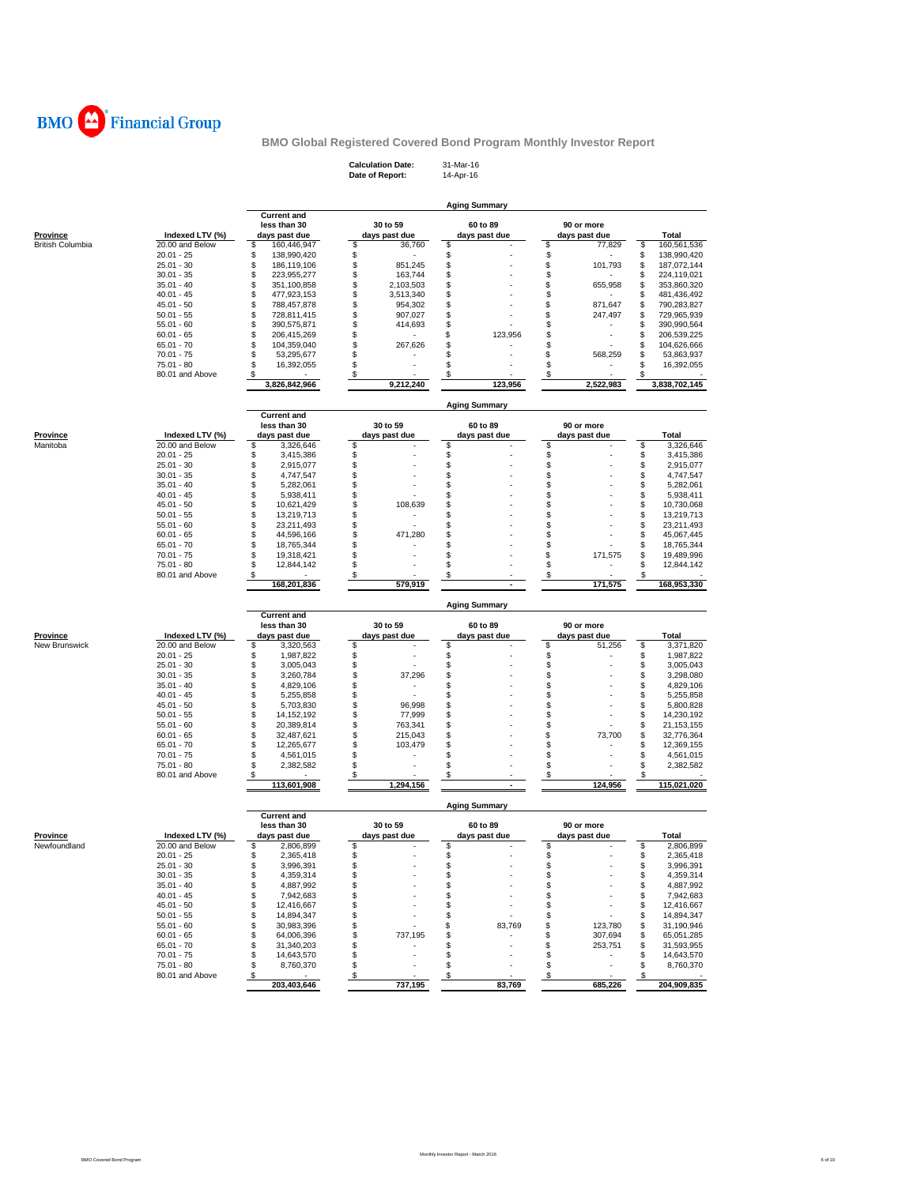

**Calculation Date:** 31-Mar-16 **Date of Report:** 14-Apr-16

|                                 |                                    | <b>Current and</b>                 |                           |          |               |          | <b>Aging Summary</b> |          |               |          |                          |
|---------------------------------|------------------------------------|------------------------------------|---------------------------|----------|---------------|----------|----------------------|----------|---------------|----------|--------------------------|
|                                 |                                    | less than 30                       |                           |          | 30 to 59      |          | 60 to 89             |          | 90 or more    |          |                          |
| <b>Province</b>                 | Indexed LTV (%)                    | days past due                      |                           |          | days past due |          | days past due        |          | days past due |          | Total                    |
| <b>British Columbia</b>         | 20.00 and Below                    | \$                                 | 160,446,947               | \$       | 36,760        | \$       |                      | \$       | 77,829        | \$       | 160,561,536              |
|                                 | $20.01 - 25$                       | \$                                 | 138,990,420               | \$       |               | \$       |                      | \$       |               | \$       | 138,990,420              |
|                                 | $25.01 - 30$                       | \$                                 | 186,119,106               | \$       | 851,245       | \$       |                      | \$       | 101,793       | \$       | 187,072,144              |
|                                 | $30.01 - 35$                       | \$                                 | 223,955,277               | \$       | 163,744       | \$       |                      | \$       |               | \$       | 224,119,021              |
|                                 | $35.01 - 40$                       | \$                                 | 351,100,858               | \$       | 2,103,503     | \$       |                      | \$       | 655,958       | \$       | 353,860,320              |
|                                 | $40.01 - 45$                       | \$                                 | 477,923,153               | \$       | 3,513,340     | \$       |                      | \$       |               | \$       | 481,436,492              |
|                                 | $45.01 - 50$                       | \$                                 | 788,457,878               | \$       | 954,302       | \$       |                      | \$       | 871,647       | \$       | 790,283,827              |
|                                 | $50.01 - 55$                       | \$                                 | 728,811,415               | \$       | 907,027       | \$       |                      | \$       | 247,497       | \$       | 729,965,939              |
|                                 | $55.01 - 60$                       | \$                                 | 390,575,871               | \$       | 414,693       | \$       |                      | \$       |               | \$       | 390,990,564              |
|                                 | $60.01 - 65$                       | \$                                 | 206,415,269               | \$       |               | \$       | 123,956              | \$       |               | \$       | 206,539,225              |
|                                 | $65.01 - 70$<br>$70.01 - 75$       | \$<br>\$                           | 104,359,040<br>53,295,677 | \$<br>\$ | 267,626       | \$<br>\$ |                      | \$<br>\$ |               | \$<br>\$ | 104,626,666              |
|                                 | 75.01 - 80                         | \$                                 |                           | \$       |               | \$       |                      | \$       | 568,259       | \$       | 53,863,937<br>16,392,055 |
|                                 | 80.01 and Above                    | \$                                 | 16,392,055                | \$       |               | \$       |                      | \$       |               | \$       |                          |
|                                 |                                    |                                    | 3,826,842,966             |          | 9,212,240     |          | 123,956              |          | 2,522,983     |          | 3,838,702,145            |
|                                 |                                    |                                    |                           |          |               |          | <b>Aging Summary</b> |          |               |          |                          |
|                                 |                                    | <b>Current and</b><br>less than 30 |                           |          | 30 to 59      |          | 60 to 89             |          | 90 or more    |          |                          |
| <b>Province</b>                 | Indexed LTV (%)                    | days past due                      |                           |          | days past due |          | days past due        |          | days past due |          | Total                    |
| Manitoba                        | 20.00 and Below                    | \$                                 | 3,326,646                 | \$       |               | \$       |                      | \$       |               | \$       | 3,326,646                |
|                                 | $20.01 - 25$                       | \$                                 | 3,415,386                 | \$       |               | \$       |                      | \$       |               | \$       | 3,415,386                |
|                                 | $25.01 - 30$                       | \$                                 | 2,915,077                 | \$       |               | \$       |                      | \$       |               | \$       | 2,915,077                |
|                                 | $30.01 - 35$                       | \$                                 | 4,747,547                 | \$       |               | \$       |                      | \$       |               | \$       | 4,747,547                |
|                                 | $35.01 - 40$                       | \$                                 | 5,282,061                 | \$       |               | \$       |                      | \$       |               | \$       | 5,282,061                |
|                                 | $40.01 - 45$                       | \$                                 | 5,938,411                 | \$       |               | \$       |                      | \$       |               | \$       | 5,938,411                |
|                                 | $45.01 - 50$                       | \$                                 | 10,621,429                | \$       | 108,639       | \$       |                      | S        |               | \$       | 10,730,068               |
|                                 | $50.01 - 55$                       | \$                                 | 13,219,713                | \$       |               | \$       |                      | \$       |               | \$       | 13,219,713               |
|                                 | $55.01 - 60$                       | \$                                 | 23,211,493                | \$       |               | \$       |                      | \$       |               | \$       | 23,211,493               |
|                                 | $60.01 - 65$                       | \$                                 | 44,596,166                | \$       | 471,280       | \$       |                      | \$       |               | \$       | 45,067,445               |
|                                 | $65.01 - 70$                       | \$                                 | 18,765,344                | \$       |               | \$       |                      | \$       |               | \$       | 18,765,344               |
|                                 | $70.01 - 75$                       | \$                                 | 19,318,421                | \$       |               | \$       |                      | \$       | 171,575       | \$       | 19,489,996               |
|                                 | $75.01 - 80$                       | \$                                 | 12,844,142                | \$       |               | \$       |                      | \$       |               | \$       | 12,844,142               |
|                                 | 80.01 and Above                    | \$                                 |                           | \$       |               | \$       |                      | \$       |               | \$       |                          |
|                                 |                                    |                                    | 168,201,836               |          | 579,919       |          | $\blacksquare$       |          | 171,575       |          | 168,953,330              |
|                                 |                                    | <b>Current and</b>                 |                           |          |               |          | <b>Aging Summary</b> |          |               |          |                          |
|                                 |                                    | less than 30                       |                           |          | 30 to 59      |          | 60 to 89             |          | 90 or more    |          |                          |
| <u>Province</u>                 | Indexed LTV (%)                    | days past due                      |                           |          | days past due |          | days past due        |          | days past due |          | Total                    |
| New Brunswick                   | 20.00 and Below                    | \$                                 | 3,320,563                 | \$       |               | \$       |                      | \$       | 51,256        | \$       | 3,371,820                |
|                                 | $20.01 - 25$                       | \$                                 | 1,987,822                 | \$       |               | \$       |                      | \$       |               | \$       | 1,987,822                |
|                                 | $25.01 - 30$                       | \$                                 | 3,005,043                 | \$       |               | \$       |                      | \$       |               | \$       | 3,005,043                |
|                                 | $30.01 - 35$                       | \$                                 | 3,260,784                 | \$       | 37,296        | \$       |                      | \$       |               | \$       | 3,298,080                |
|                                 | $35.01 - 40$                       | \$                                 | 4,829,106                 | \$       |               | \$       |                      | \$       |               | \$       | 4,829,106                |
|                                 | $40.01 - 45$                       | \$                                 | 5,255,858                 | \$       |               | \$       |                      | \$       |               | \$       | 5,255,858                |
|                                 | $45.01 - 50$                       | \$                                 | 5,703,830                 | \$       | 96,998        | \$       |                      | \$       |               | \$       | 5,800,828                |
|                                 | $50.01 - 55$                       | \$                                 | 14, 152, 192              | \$       | 77,999        | \$       |                      | \$       |               | \$       | 14,230,192               |
|                                 | $55.01 - 60$                       | \$                                 | 20,389,814                | \$       | 763,341       | \$       |                      | \$       |               | \$       | 21, 153, 155             |
|                                 | $60.01 - 65$                       | \$                                 | 32,487,621                | \$       | 215,043       | \$       |                      | \$       | 73,700        | \$       | 32,776,364               |
|                                 | $65.01 - 70$                       | \$                                 | 12,265,677                | \$       | 103,479       | \$       |                      | \$       |               | \$       | 12,369,155               |
|                                 | $70.01 - 75$                       | \$                                 | 4,561,015                 | \$       |               | \$       |                      | \$       |               | \$       | 4,561,015                |
|                                 | 75.01 - 80                         | \$                                 | 2,382,582                 | \$       |               | \$       |                      | \$       |               | \$       | 2,382,582                |
|                                 | 80.01 and Above                    | \$                                 | 113,601,908               | \$       | 1,294,156     | \$       | $\ddot{\phantom{1}}$ | \$       | 124,956       | S        | 115,021,020              |
|                                 |                                    |                                    |                           |          |               |          | <b>Aging Summary</b> |          |               |          |                          |
|                                 |                                    | <b>Current and</b>                 |                           |          |               |          |                      |          |               |          |                          |
|                                 |                                    | less than 30                       |                           |          | 30 to 59      |          | 60 to 89             |          | 90 or more    |          |                          |
| <u>Province</u><br>Newfoundland | Indexed LTV (%)<br>20.00 and Below | days past due<br>\$                |                           | \$       | days past due | \$       | days past due        | \$       | days past due | \$       | Total<br>2,806,899       |
|                                 | $20.01 - 25$                       | \$                                 | 2,806,899<br>2,365,418    | \$       |               | \$       |                      | \$       |               | \$       | 2,365,418                |
|                                 |                                    | \$                                 |                           |          |               | \$       |                      |          |               |          | 3,996,391                |
|                                 | $25.01 - 30$<br>$30.01 - 35$       | \$                                 | 3,996,391<br>4,359,314    | \$<br>\$ |               | \$       |                      | \$<br>\$ |               | \$<br>\$ | 4,359,314                |
|                                 | $35.01 - 40$                       | \$                                 | 4,887,992                 | \$       |               | \$       |                      | \$       |               | \$       | 4,887,992                |
|                                 |                                    | \$                                 |                           | \$       |               | \$       |                      | \$       |               | \$       |                          |
|                                 | $40.01 - 45$                       |                                    | 7,942,683                 |          |               |          |                      |          |               |          | 7,942,683                |
|                                 | $45.01 - 50$                       | \$                                 | 12,416,667                | \$       |               | \$       |                      | \$       |               | \$       | 12,416,667               |
|                                 | $50.01 - 55$                       | \$                                 | 14.894.347                | \$       |               | \$       |                      | \$       |               | \$       | 14,894,347               |
|                                 | $55.01 - 60$                       | \$<br>\$                           | 30,983,396                | \$       |               | \$       | 83,769               | \$       | 123,780       | \$       | 31,190,946               |
|                                 |                                    |                                    | 64,006,396                | \$       | 737,195       | \$       |                      | \$       | 307,694       | \$       | 65,051,285               |
|                                 | $60.01 - 65$                       |                                    |                           |          |               |          |                      |          |               |          |                          |
|                                 | $65.01 - 70$                       | \$                                 | 31,340,203                | \$       |               | \$       |                      | \$       | 253,751       | \$       | 31,593,955               |
|                                 | $70.01 - 75$                       | \$                                 | 14,643,570                | \$       |               | \$       |                      | \$       |               | \$       | 14,643,570               |
|                                 | $75.01 - 80$                       | \$                                 | 8,760,370                 | \$       |               | \$       |                      | \$       |               | \$       | 8,760,370                |
|                                 | 80.01 and Above                    | \$                                 | ٠<br>203,403,646          | \$       | 737,195       | \$       | 83.769               | \$       | 685,226       | \$       | 204,909,835              |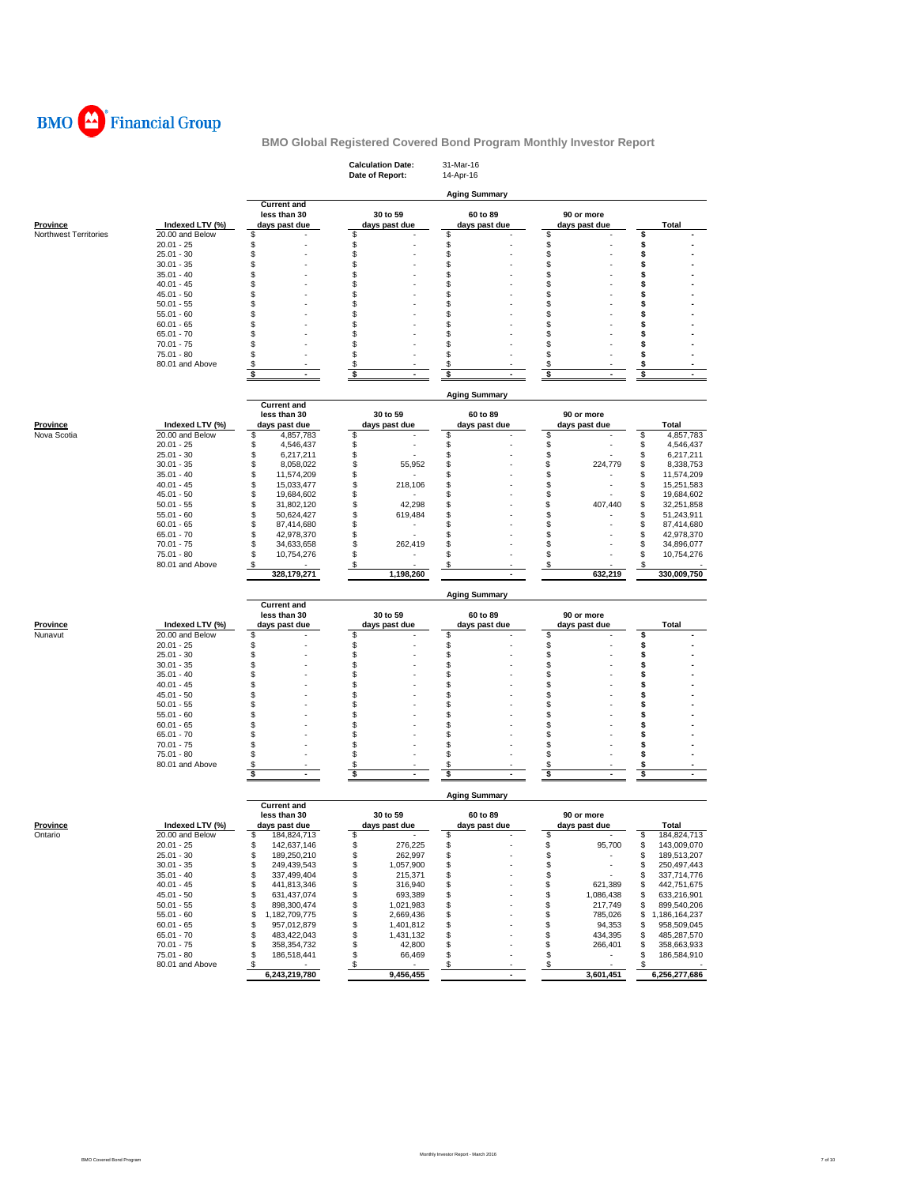

|                       |                                 |                                        | <b>Calculation Date:</b><br>Date of Report: | 31-Mar-16<br>14-Apr-16    |                                   |                                        |
|-----------------------|---------------------------------|----------------------------------------|---------------------------------------------|---------------------------|-----------------------------------|----------------------------------------|
|                       |                                 |                                        |                                             | <b>Aging Summary</b>      |                                   |                                        |
|                       |                                 | <b>Current and</b>                     |                                             |                           |                                   |                                        |
| <b>Province</b>       | Indexed LTV (%)                 | less than 30<br>days past due          | 30 to 59<br>days past due                   | 60 to 89<br>days past due | 90 or more<br>days past due       | Total                                  |
| Northwest Territories | 20.00 and Below                 | \$                                     | \$                                          | \$                        | \$                                | \$                                     |
|                       | $20.01 - 25$<br>$25.01 - 30$    | \$<br>\$                               | \$<br>\$                                    | \$<br>\$                  | \$<br>\$                          | \$<br>\$                               |
|                       | $30.01 - 35$                    | \$                                     | \$                                          | \$                        | \$                                | \$                                     |
|                       | $35.01 - 40$                    | \$                                     | \$                                          | \$                        | \$                                | \$                                     |
|                       | $40.01 - 45$<br>45.01 - 50      | \$<br>\$                               | \$<br>\$                                    | \$<br>\$                  | \$<br>\$                          | \$<br>\$                               |
|                       | $50.01 - 55$                    | \$                                     | \$                                          | \$                        | \$                                | \$                                     |
|                       | $55.01 - 60$                    | \$                                     | \$                                          | \$                        | \$                                | \$                                     |
|                       | $60.01 - 65$                    | \$                                     | \$                                          | \$                        | \$                                | \$                                     |
|                       | 65.01 - 70<br>$70.01 - 75$      | \$<br>Ŝ                                | \$<br>\$                                    | \$<br>\$                  | \$<br>\$                          | \$<br>s                                |
|                       | 75.01 - 80                      | \$                                     | \$                                          | \$                        | \$                                | \$                                     |
|                       | 80.01 and Above                 | \$                                     | \$                                          | \$                        | \$                                | \$                                     |
|                       |                                 | \$                                     | \$                                          | \$                        | \$                                | \$                                     |
|                       |                                 |                                        |                                             | <b>Aging Summary</b>      |                                   |                                        |
|                       |                                 | <b>Current and</b><br>less than 30     | 30 to 59                                    | 60 to 89                  | 90 or more                        |                                        |
| Province              | Indexed LTV (%)                 | days past due                          | days past due                               | days past due             | days past due                     | Total                                  |
| Nova Scotia           | 20.00 and Below                 | \$<br>4,857,783                        | \$                                          | \$                        | \$                                | \$<br>4,857,783                        |
|                       | $20.01 - 25$                    | \$<br>4,546,437                        | \$                                          | \$                        | \$                                | \$<br>4,546,437                        |
|                       | $25.01 - 30$<br>$30.01 - 35$    | \$<br>6,217,211<br>\$<br>8,058,022     | \$<br>\$<br>55,952                          | \$<br>\$                  | \$<br>\$<br>224,779               | \$<br>6,217,211<br>\$<br>8,338,753     |
|                       | $35.01 - 40$                    | \$<br>11,574,209                       | \$                                          | \$                        | \$                                | \$<br>11,574,209                       |
|                       | $40.01 - 45$                    | \$<br>15,033,477                       | \$<br>218.106                               | \$                        | \$                                | \$<br>15,251,583                       |
|                       | 45.01 - 50<br>$50.01 - 55$      | \$<br>19,684,602<br>\$<br>31,802,120   | \$<br>\$<br>42,298                          | \$<br>\$                  | \$<br>\$<br>407,440               | \$<br>19,684,602<br>\$<br>32,251,858   |
|                       | $55.01 - 60$                    | \$<br>50,624,427                       | \$<br>619,484                               | \$                        | \$                                | \$<br>51,243,911                       |
|                       | $60.01 - 65$                    | \$<br>87,414,680                       | \$                                          | \$                        | \$                                | \$<br>87,414,680                       |
|                       | $65.01 - 70$                    | \$<br>42,978,370                       | \$                                          | \$                        | \$                                | \$<br>42,978,370                       |
|                       | $70.01 - 75$<br>75.01 - 80      | \$<br>34,633,658<br>\$<br>10,754,276   | \$<br>262,419<br>\$                         | \$<br>\$                  | \$<br>\$                          | \$<br>34,896,077<br>\$<br>10,754,276   |
|                       | 80.01 and Above                 | \$                                     | \$                                          | \$                        | \$                                | \$                                     |
|                       |                                 | 328,179,271                            | 1,198,260                                   |                           | 632,219                           | 330,009,750                            |
|                       |                                 |                                        |                                             | Aging Summary             |                                   |                                        |
|                       |                                 | <b>Current and</b><br>less than 30     | 30 to 59                                    | 60 to 89                  | 90 or more                        |                                        |
| <b>Province</b>       | Indexed LTV (%)                 | days past due                          | days past due                               | days past due             | days past due                     | Total                                  |
| Nunavut               | 20.00 and Below                 | \$                                     | \$                                          | \$                        | \$                                | \$                                     |
|                       | $20.01 - 25$<br>$25.01 - 30$    | \$<br>\$                               | \$<br>\$                                    | \$<br>\$                  | \$<br>\$                          | \$<br>\$                               |
|                       | $30.01 - 35$                    | \$                                     | \$                                          | \$                        | \$                                | \$                                     |
|                       | $35.01 - 40$                    | \$                                     | \$                                          | \$                        | \$                                | \$                                     |
|                       | $40.01 - 45$                    | \$<br>Ŝ                                | \$                                          | \$                        | \$                                | \$                                     |
|                       | $45.01 - 50$<br>$50.01 - 55$    | \$                                     | \$<br>\$                                    | \$<br>\$                  | \$<br>\$                          | \$<br>\$                               |
|                       | $55.01 - 60$                    | \$                                     | \$                                          | \$                        | \$                                | \$                                     |
|                       | $60.01 - 65$                    | \$                                     | \$                                          | \$                        | \$                                | \$                                     |
|                       | 65.01 - 70<br>$70.01 - 75$      | \$<br>\$                               | \$<br>\$                                    | \$<br>\$                  | \$<br>\$                          | \$<br>\$                               |
|                       | 75.01 - 80                      | \$                                     | \$                                          | \$                        | \$                                | \$                                     |
|                       | 80.01 and Above                 | \$<br>÷.                               | \$                                          | \$                        | \$                                | \$                                     |
|                       |                                 | \$                                     | \$<br>$\overline{a}$                        | \$                        | \$<br>$\mathbf{r}$                | \$                                     |
|                       |                                 | <b>Current and</b>                     |                                             | <b>Aging Summary</b>      |                                   |                                        |
|                       |                                 | less than 30                           | 30 to 59                                    | 60 to 89                  | 90 or more                        |                                        |
| <b>Province</b>       | Indexed LTV (%)                 | days past due                          | days past due                               | days past due             | days past due                     | Total                                  |
| Ontario               | 20.00 and Below<br>$20.01 - 25$ | S,<br>184,824,713<br>\$<br>142,637,146 | S,<br>\$<br>276,225                         | Ş<br>\$                   | \$<br>\$<br>95,700                | Ş<br>184,824,713<br>\$<br>143,009,070  |
|                       | $25.01 - 30$                    | \$<br>189,250,210                      | \$<br>262,997                               | \$                        | \$                                | \$<br>189,513,207                      |
|                       | $30.01 - 35$                    | \$<br>249,439,543                      | \$<br>1,057,900                             | \$                        | \$                                | \$<br>250,497,443                      |
|                       | $35.01 - 40$                    | \$<br>337,499,404                      | \$<br>215,371                               | \$                        | \$                                | 337,714,776<br>\$                      |
|                       | $40.01 - 45$<br>45.01 - 50      | \$<br>441,813,346<br>\$<br>631,437,074 | \$<br>316,940<br>\$<br>693,389              | \$<br>\$                  | \$<br>621,389<br>\$<br>1,086,438  | \$<br>442,751,675<br>633,216,901<br>\$ |
|                       | $50.01 - 55$                    | \$<br>898,300,474                      | \$<br>1,021,983                             | \$                        | \$<br>217,749                     | 899,540,206<br>\$                      |
|                       | $55.01 - 60$                    | \$<br>1,182,709,775                    | \$<br>2,669,436                             | \$                        | \$<br>785,026                     | \$<br>1,186,164,237                    |
|                       | $60.01 - 65$<br>$65.01 - 70$    | \$<br>957,012,879<br>\$<br>483,422,043 | \$<br>1,401,812<br>\$<br>1,431,132          | \$<br>\$                  | \$<br>94,353<br>\$<br>434,395     | 958,509,045<br>\$<br>\$<br>485,287,570 |
|                       | $70.01 - 75$                    | \$<br>358,354,732                      | \$<br>42,800                                | \$                        | \$<br>266,401                     | \$<br>358,663,933                      |
|                       | $75.01 - 80$                    | \$<br>186,518,441                      | \$<br>66,469                                | \$                        | \$                                | \$<br>186,584,910                      |
|                       | 80.01 and Above                 | \$<br>$\sim$<br>6,243,219,780          | $\frac{1}{2}$<br>$\sim$<br>9,456,455        | \$                        | $\pmb{\mathfrak{z}}$<br>3,601,451 | \$<br>6,256,277,686                    |
|                       |                                 |                                        |                                             |                           |                                   |                                        |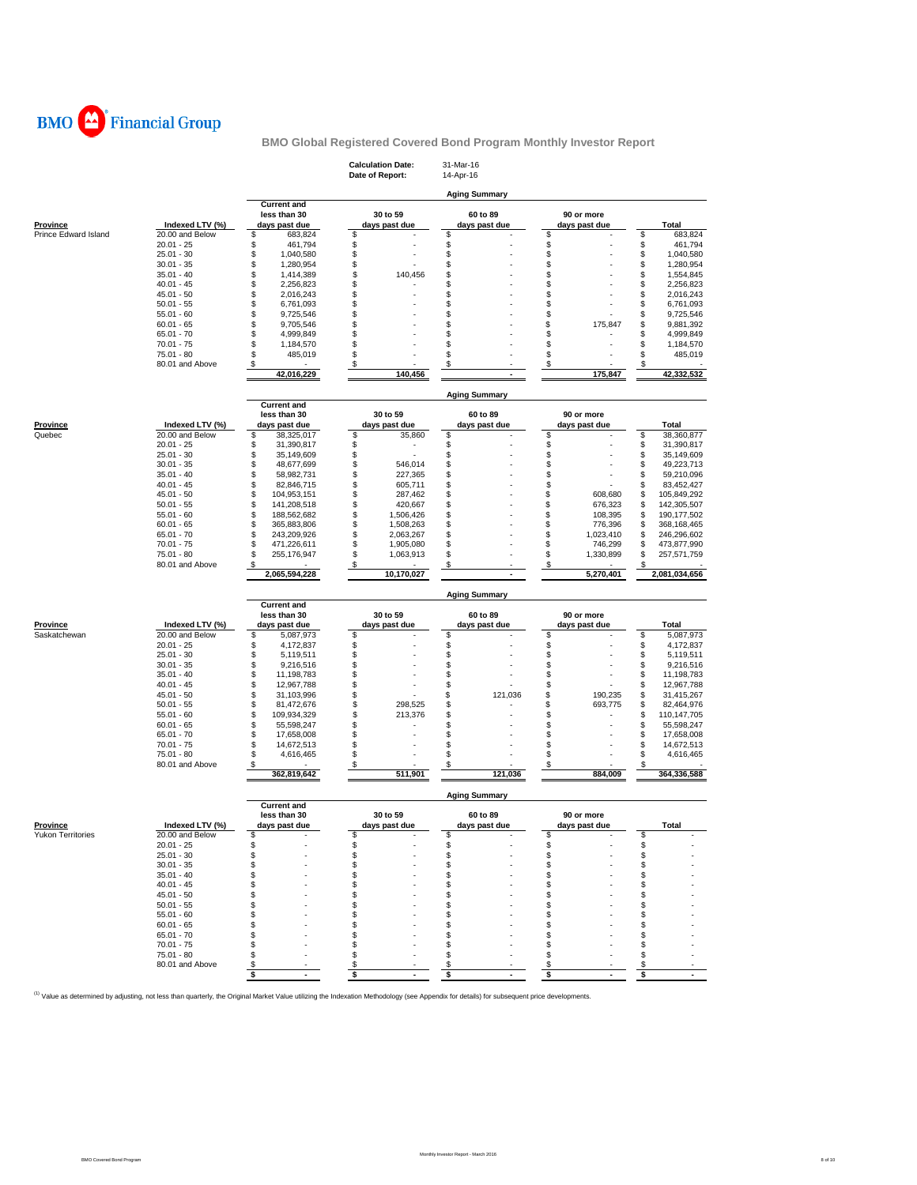

|                                  |                                    |                                        | <b>Calculation Date:</b><br>Date of Report: | 31-Mar-16<br>14-Apr-16    |                                |                                        |
|----------------------------------|------------------------------------|----------------------------------------|---------------------------------------------|---------------------------|--------------------------------|----------------------------------------|
|                                  |                                    |                                        |                                             |                           |                                |                                        |
|                                  |                                    | <b>Current and</b>                     |                                             | <b>Aging Summary</b>      |                                |                                        |
|                                  |                                    | less than 30                           | 30 to 59                                    | 60 to 89                  | 90 or more                     |                                        |
| Province<br>Prince Edward Island | Indexed LTV (%)<br>20.00 and Below | days past due<br>\$<br>683,824         | days past due<br>\$                         | days past due<br>\$       | days past due<br>\$            | Total<br>\$<br>683,824                 |
|                                  | $20.01 - 25$                       | \$<br>461,794                          | \$                                          | \$                        | \$                             | \$<br>461,794                          |
|                                  | $25.01 - 30$                       | \$<br>1,040,580                        | \$                                          | \$                        | \$                             | \$<br>1,040,580                        |
|                                  | $30.01 - 35$                       | \$<br>1,280,954                        | \$                                          | \$                        | \$                             | \$<br>1,280,954                        |
|                                  | $35.01 - 40$                       | \$<br>1,414,389                        | \$<br>140,456                               | \$                        | \$                             | \$<br>1,554,845                        |
|                                  | $40.01 - 45$<br>45.01 - 50         | \$<br>2,256,823<br>\$<br>2,016,243     | \$<br>\$                                    | \$<br>\$                  | \$<br>\$                       | \$<br>2,256,823<br>\$<br>2,016,243     |
|                                  | $50.01 - 55$                       | \$<br>6,761,093                        | \$                                          | \$                        | \$                             | \$<br>6,761,093                        |
|                                  | $55.01 - 60$                       | \$<br>9,725,546                        | \$                                          | \$                        | \$                             | \$<br>9,725,546                        |
|                                  | $60.01 - 65$                       | \$<br>9,705,546                        | \$                                          | \$                        | \$<br>175,847                  | \$<br>9,881,392                        |
|                                  | 65.01 - 70                         | \$<br>4,999,849                        | \$<br>\$                                    | \$                        | S<br>\$                        | \$<br>4,999,849                        |
|                                  | $70.01 - 75$<br>$75.01 - 80$       | \$<br>1,184,570<br>\$<br>485,019       | \$                                          | \$<br>\$                  | \$                             | \$<br>1,184,570<br>\$<br>485,019       |
|                                  | 80.01 and Above                    | \$                                     | \$                                          | \$                        | \$                             | \$                                     |
|                                  |                                    | 42,016,229                             | 140,456                                     |                           | 175,847                        | 42,332,532                             |
|                                  |                                    |                                        |                                             |                           |                                |                                        |
|                                  |                                    | <b>Current and</b>                     |                                             | <b>Aging Summary</b>      |                                |                                        |
|                                  |                                    | less than 30                           | 30 to 59                                    | 60 to 89                  | 90 or more                     |                                        |
| Province                         | Indexed LTV (%)                    | days past due                          | days past due                               | days past due             | days past due                  | Total                                  |
| Quebec                           | 20.00 and Below<br>$20.01 - 25$    | \$<br>38,325,017<br>\$<br>31,390,817   | \$<br>35,860<br>\$                          | \$<br>\$                  | \$<br>\$                       | \$<br>38,360,877<br>\$<br>31,390,817   |
|                                  | $25.01 - 30$                       | \$<br>35,149,609                       | \$                                          | \$                        | \$                             | \$<br>35,149,609                       |
|                                  | $30.01 - 35$                       | \$<br>48,677,699                       | \$<br>546,014                               | \$                        | \$                             | \$<br>49,223,713                       |
|                                  | $35.01 - 40$                       | \$<br>58,982,731                       | \$<br>227,365                               | \$                        | \$                             | \$<br>59,210,096                       |
|                                  | $40.01 - 45$                       | \$<br>82,846,715                       | \$<br>605,711                               | \$                        | \$                             | \$<br>83,452,427                       |
|                                  | 45.01 - 50<br>$50.01 - 55$         | \$<br>104,953,151<br>\$<br>141,208,518 | \$<br>287,462<br>\$<br>420,667              | \$<br>\$                  | \$<br>608,680<br>\$<br>676,323 | \$<br>105,849,292<br>\$<br>142,305,507 |
|                                  | $55.01 - 60$                       | \$<br>188,562,682                      | \$<br>1,506,426                             | \$                        | \$<br>108,395                  | \$<br>190, 177, 502                    |
|                                  | $60.01 - 65$                       | \$<br>365,883,806                      | \$<br>1,508,263                             | \$                        | \$<br>776,396                  | \$<br>368,168,465                      |
|                                  | 65.01 - 70                         | \$<br>243,209,926                      | \$<br>2,063,267                             | \$                        | \$<br>1,023,410                | \$<br>246,296,602                      |
|                                  | $70.01 - 75$                       | \$<br>471,226,611                      | \$<br>1,905,080                             | \$                        | \$<br>746,299                  | \$<br>473,877,990                      |
|                                  | 75.01 - 80<br>80.01 and Above      | \$<br>255,176,947<br>\$                | \$<br>1,063,913<br>\$                       | \$<br>\$                  | \$<br>1,330,899<br>\$          | \$<br>257,571,759<br>\$                |
|                                  |                                    | 2,065,594,228                          | 10,170,027                                  |                           | 5,270,401                      | 2,081,034,656                          |
|                                  |                                    |                                        |                                             | <b>Aging Summary</b>      |                                |                                        |
|                                  |                                    | <b>Current and</b>                     |                                             |                           |                                |                                        |
| <b>Province</b>                  | Indexed LTV (%)                    | less than 30<br>days past due          | 30 to 59<br>days past due                   | 60 to 89<br>days past due | 90 or more<br>days past due    | Total                                  |
| Saskatchewan                     | 20.00 and Below                    | \$<br>5,087,973                        | \$                                          | \$                        | \$                             | \$<br>5,087,973                        |
|                                  | $20.01 - 25$                       | \$<br>4,172,837                        | \$                                          | \$                        | \$                             | \$<br>4,172,837                        |
|                                  | $25.01 - 30$                       | \$<br>5,119,511                        | \$                                          | \$                        | \$                             | \$<br>5,119,511                        |
|                                  | $30.01 - 35$                       | \$<br>9,216,516<br>\$                  | \$<br>\$                                    | \$<br>\$                  | \$<br>S                        | \$<br>9,216,516                        |
|                                  | $35.01 - 40$<br>$40.01 - 45$       | 11,198,783<br>\$<br>12,967,788         | \$                                          | \$                        | \$                             | \$<br>11,198,783<br>\$<br>12,967,788   |
|                                  | 45.01 - 50                         | \$<br>31,103,996                       | \$                                          | \$<br>121,036             | \$<br>190,235                  | \$<br>31,415,267                       |
|                                  | $50.01 - 55$                       | \$<br>81,472,676                       | \$<br>298,525                               | \$                        | \$<br>693,775                  | \$<br>82,464,976                       |
|                                  | $55.01 - 60$                       | \$<br>109,934,329                      | \$<br>213,376                               | \$                        | \$                             | \$<br>110,147,705                      |
|                                  | $60.01 - 65$                       | \$<br>55,598,247<br>\$                 | \$                                          | \$                        | \$                             | \$<br>55,598,247                       |
|                                  | 65.01 - 70<br>$70.01 - 75$         | 17,658,008<br>\$<br>14,672,513         | \$<br>\$                                    | \$<br>\$                  | \$<br>\$                       | \$<br>17,658,008<br>\$<br>14,672,513   |
|                                  | 75.01 - 80                         | \$<br>4,616,465                        | \$                                          | \$                        | \$                             | \$<br>4,616,465                        |
|                                  | 80.01 and Above                    | \$<br>362,819,642                      | \$<br>511,901                               | \$<br>121,036             | \$<br>884,009                  | \$<br>364,336,588                      |
|                                  |                                    |                                        |                                             |                           |                                |                                        |
|                                  |                                    | <b>Current and</b>                     |                                             | <b>Aging Summary</b>      |                                |                                        |
|                                  |                                    | less than 30                           | 30 to 59                                    | 60 to 89                  | 90 or more                     |                                        |
| Province                         | Indexed LTV (%)                    | days past due                          | days past due                               | days past due             | days past due                  | <b>Total</b>                           |
| Yukon Territories                | 20.00 and Below<br>$20.01 - 25$    | \$                                     | \$                                          | \$                        | S                              | \$                                     |
|                                  | 25.01 - 30                         | \$                                     | \$                                          | \$                        | \$                             | s                                      |
|                                  | $30.01 - 35$                       | \$                                     | \$                                          | S                         | \$                             | s                                      |
|                                  | $35.01 - 40$                       | \$                                     | \$.                                         | \$                        | \$.                            | S                                      |
|                                  | $40.01 - 45$                       | \$<br>S                                | \$                                          | \$                        | \$                             | S                                      |
|                                  | 45.01 - 50<br>$50.01 - 55$         | \$                                     | S<br>S                                      | \$<br>\$                  | \$<br>\$                       | S<br>s                                 |
|                                  | $55.01 - 60$                       | \$                                     | \$                                          | S                         | \$                             | S                                      |
|                                  | $60.01 - 65$                       | \$                                     | \$.                                         | \$                        | S                              | s                                      |
|                                  | 65.01 - 70                         | \$                                     | S                                           | \$                        | \$                             | \$                                     |
|                                  | 70.01 - 75                         | \$                                     | S                                           | \$                        | S                              | \$                                     |
|                                  | 75.01 - 80<br>80.01 and Above      | \$<br>\$                               | \$                                          | s<br>\$                   | S                              | \$<br>\$                               |
|                                  |                                    | \$                                     | \$<br>$\blacksquare$                        | \$                        | \$                             | \$                                     |
|                                  |                                    |                                        |                                             |                           |                                |                                        |

<sup>(1)</sup> Value as determined by adjusting, not less than quarterly, the Original Market Value utilizing the Indexation Methodology (see Appendix for details) for subsequent price developments.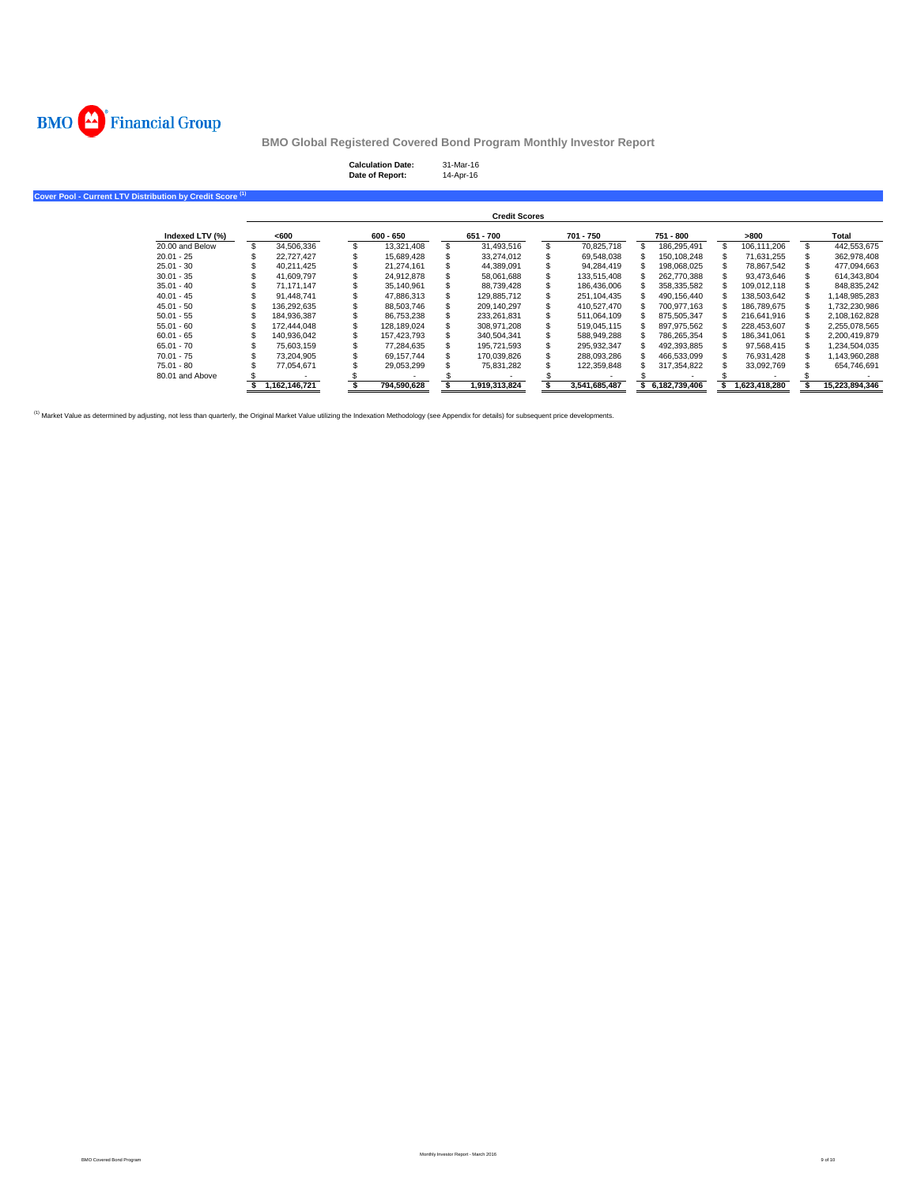

**Calculation Date:** 31-Mar-16 **Date of Report:** 14-Apr-16

**Cover Pool - Current LTV Distribution by Credit Score (1)**

|                 |                  |             | <b>Credit Scores</b> |                     |               |   |               |                |
|-----------------|------------------|-------------|----------------------|---------------------|---------------|---|---------------|----------------|
| Indexed LTV (%) | <600             | $600 - 650$ | 651 - 700            | 701 - 750           | 751 - 800     |   | >800          | Total          |
| 20.00 and Below | \$<br>34.506.336 | 13.321.408  | \$<br>31.493.516     | 70.825.718          | 186.295.491   | S | 106.111.206   | 442.553.675    |
| $20.01 - 25$    | 22.727.427       | 15.689.428  | 33.274.012           | 69.548.038          | 150.108.248   |   | 71.631.255    | 362,978,408    |
| $25.01 - 30$    | 40.211.425       | 21.274.161  | 44.389.091           | 94.284.419          | 198.068.025   |   | 78.867.542    | 477.094.663    |
| $30.01 - 35$    | 41.609.797       | 24.912.878  | 58,061,688           | 133,515,408         | 262.770.388   |   | 93,473,646    | 614,343,804    |
| $35.01 - 40$    | 71.171.147       | 35.140.961  | 88.739.428           | \$<br>186,436,006   | 358.335.582   |   | 109.012.118   | 848,835,242    |
| $40.01 - 45$    | 91.448.741       | 47.886.313  | 129.885.712          | \$<br>251, 104, 435 | 490.156.440   |   | 138.503.642   | 1,148,985,283  |
| $45.01 - 50$    | 136.292.635      | 88.503.746  | 209.140.297          | 410.527.470         | 700.977.163   |   | 186.789.675   | 1.732.230.986  |
| $50.01 - 55$    | 184.936.387      | 86.753.238  | 233.261.831          | 511.064.109         | 875.505.347   |   | 216.641.916   | 2,108,162,828  |
| $55.01 - 60$    | 172.444.048      | 128.189.024 | 308.971.208          | 519.045.115         | 897.975.562   |   | 228.453.607   | 2,255,078,565  |
| $60.01 - 65$    | 140.936.042      | 157.423.793 | 340.504.341          | 588.949.288         | 786.265.354   |   | 186.341.061   | 2,200,419,879  |
| $65.01 - 70$    | 75.603.159       | 77.284.635  | 195.721.593          | 295.932.347         | 492.393.885   |   | 97.568.415    | 1,234,504,035  |
| $70.01 - 75$    | 73.204.905       | 69.157.744  | 170.039.826          | 288.093.286         | 466.533.099   |   | 76.931.428    | 1,143,960,288  |
| $75.01 - 80$    | 77.054.671       | 29.053.299  | 75.831.282           | 122.359.848         | 317.354.822   |   | 33.092.769    | 654.746.691    |
| 80.01 and Above |                  |             |                      |                     |               |   |               |                |
|                 | 1.162.146.721    | 794.590.628 | 1.919.313.824        | 3.541.685.487       | 6.182.739.406 |   | 1.623.418.280 | 15,223,894,346 |

<sup>(1)</sup> Market Value as determined by adjusting, not less than quarterly, the Original Market Value utilizing the Indexation Methodology (see Appendix for details) for subsequent price developments.